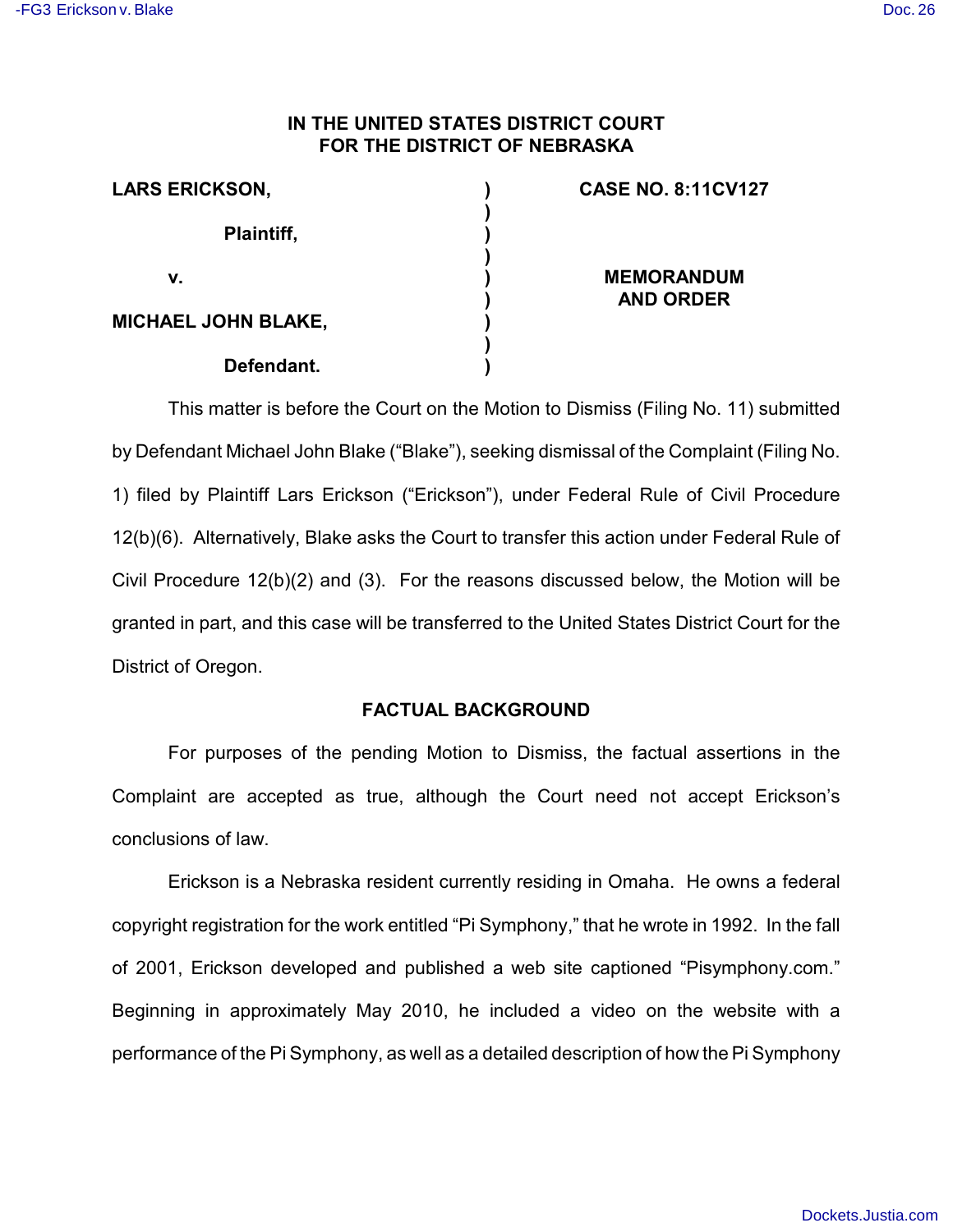## **IN THE UNITED STATES DISTRICT COURT FOR THE DISTRICT OF NEBRASKA**

| <b>LARS ERICKSON,</b>      |  |
|----------------------------|--|
| Plaintiff,                 |  |
| v.                         |  |
| <b>MICHAEL JOHN BLAKE,</b> |  |
| Defendant.                 |  |

### **CASE NO. 8:11CV127**

**MEMORANDUM AND ORDER**

This matter is before the Court on the Motion to Dismiss (Filing No. 11) submitted by Defendant Michael John Blake ("Blake"), seeking dismissal of the Complaint (Filing No. 1) filed by Plaintiff Lars Erickson ("Erickson"), under Federal Rule of Civil Procedure 12(b)(6). Alternatively, Blake asks the Court to transfer this action under Federal Rule of Civil Procedure 12(b)(2) and (3). For the reasons discussed below, the Motion will be granted in part, and this case will be transferred to the United States District Court for the District of Oregon.

## **FACTUAL BACKGROUND**

For purposes of the pending Motion to Dismiss, the factual assertions in the Complaint are accepted as true, although the Court need not accept Erickson's conclusions of law.

Erickson is a Nebraska resident currently residing in Omaha. He owns a federal copyright registration for the work entitled "Pi Symphony," that he wrote in 1992. In the fall of 2001, Erickson developed and published a web site captioned "Pisymphony.com." Beginning in approximately May 2010, he included a video on the website with a performance of the Pi Symphony, as well as a detailed description of how the Pi Symphony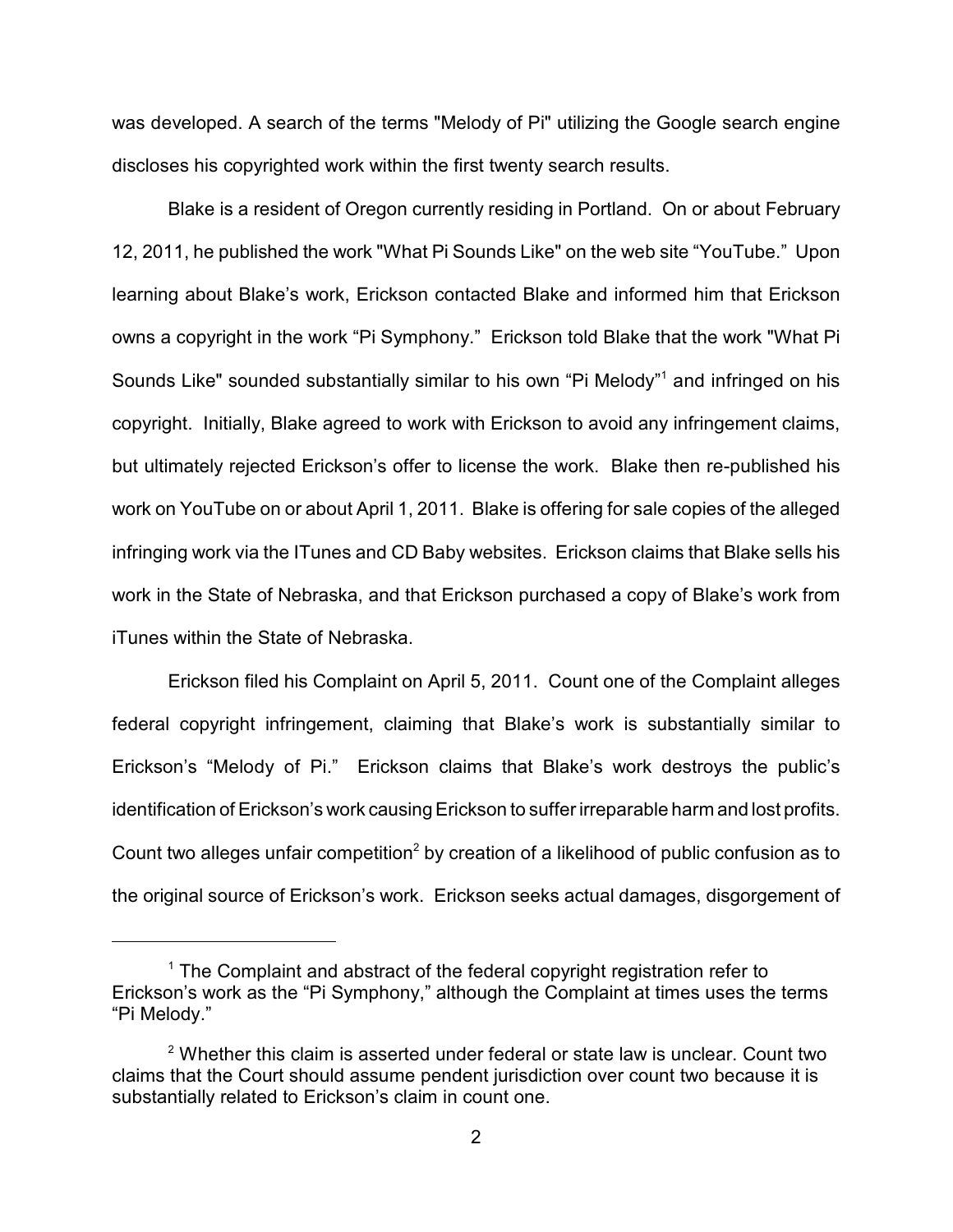was developed. A search of the terms "Melody of Pi" utilizing the Google search engine discloses his copyrighted work within the first twenty search results.

Blake is a resident of Oregon currently residing in Portland. On or about February 12, 2011, he published the work "What Pi Sounds Like" on the web site "YouTube." Upon learning about Blake's work, Erickson contacted Blake and informed him that Erickson owns a copyright in the work "Pi Symphony." Erickson told Blake that the work "What Pi Sounds Like" sounded substantially similar to his own "Pi Melody"<sup>1</sup> and infringed on his copyright. Initially, Blake agreed to work with Erickson to avoid any infringement claims, but ultimately rejected Erickson's offer to license the work. Blake then re-published his work on YouTube on or about April 1, 2011. Blake is offering for sale copies of the alleged infringing work via the ITunes and CD Baby websites. Erickson claims that Blake sells his work in the State of Nebraska, and that Erickson purchased a copy of Blake's work from iTunes within the State of Nebraska.

Erickson filed his Complaint on April 5, 2011. Count one of the Complaint alleges federal copyright infringement, claiming that Blake's work is substantially similar to Erickson's "Melody of Pi." Erickson claims that Blake's work destroys the public's identification of Erickson's work causing Erickson to suffer irreparable harm and lost profits. Count two alleges unfair competition<sup>2</sup> by creation of a likelihood of public confusion as to the original source of Erickson's work. Erickson seeks actual damages, disgorgement of

 $1$  The Complaint and abstract of the federal copyright registration refer to Erickson's work as the "Pi Symphony," although the Complaint at times uses the terms "Pi Melody."

 $2$  Whether this claim is asserted under federal or state law is unclear. Count two claims that the Court should assume pendent jurisdiction over count two because it is substantially related to Erickson's claim in count one.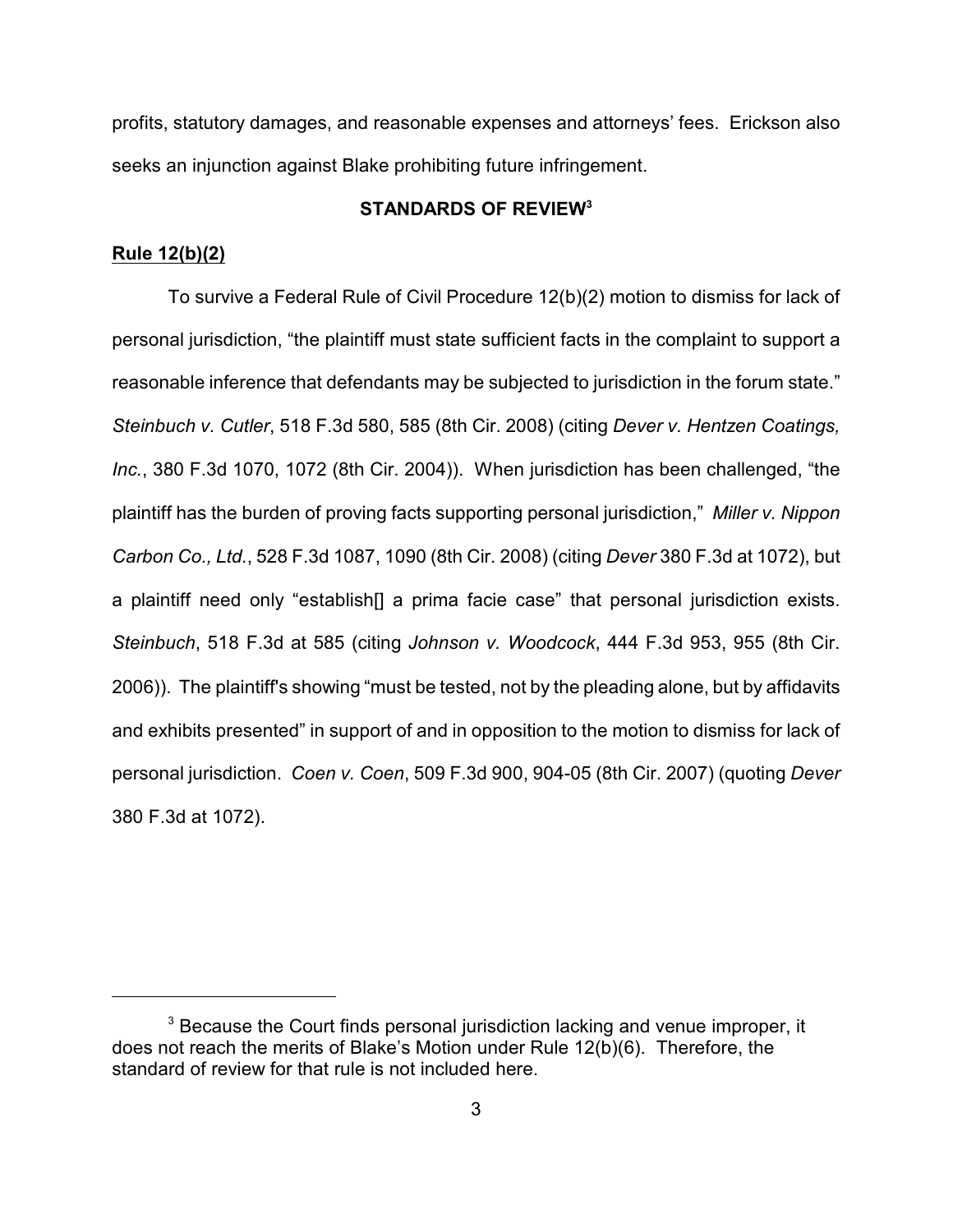profits, statutory damages, and reasonable expenses and attorneys' fees. Erickson also seeks an injunction against Blake prohibiting future infringement.

## **STANDARDS OF REVIEW<sup>3</sup>**

#### **Rule 12(b)(2)**

To survive a Federal Rule of Civil Procedure 12(b)(2) motion to dismiss for lack of personal jurisdiction, "the plaintiff must state sufficient facts in the complaint to support a reasonable inference that defendants may be subjected to jurisdiction in the forum state." *Steinbuch v. Cutler*, 518 F.3d 580, 585 (8th Cir. 2008) (citing *Dever v. Hentzen Coatings, Inc.*, 380 F.3d 1070, 1072 (8th Cir. 2004)).When jurisdiction has been challenged, "the plaintiff has the burden of proving facts supporting personal jurisdiction," *Miller v. Nippon Carbon Co., Ltd.*, 528 F.3d 1087, 1090 (8th Cir. 2008) (citing *Dever* 380 F.3d at 1072), but a plaintiff need only "establish[] a prima facie case" that personal jurisdiction exists. *Steinbuch*, 518 F.3d at 585 (citing *Johnson v. Woodcock*, 444 F.3d 953, 955 (8th Cir. 2006)).The plaintiff's showing "must be tested, not by the pleading alone, but by affidavits and exhibits presented" in support of and in opposition to the motion to dismiss for lack of personal jurisdiction. *Coen v. Coen*, 509 F.3d 900, 904-05 (8th Cir. 2007) (quoting *Dever* 380 F.3d at 1072).

 $3$  Because the Court finds personal jurisdiction lacking and venue improper, it does not reach the merits of Blake's Motion under Rule 12(b)(6). Therefore, the standard of review for that rule is not included here.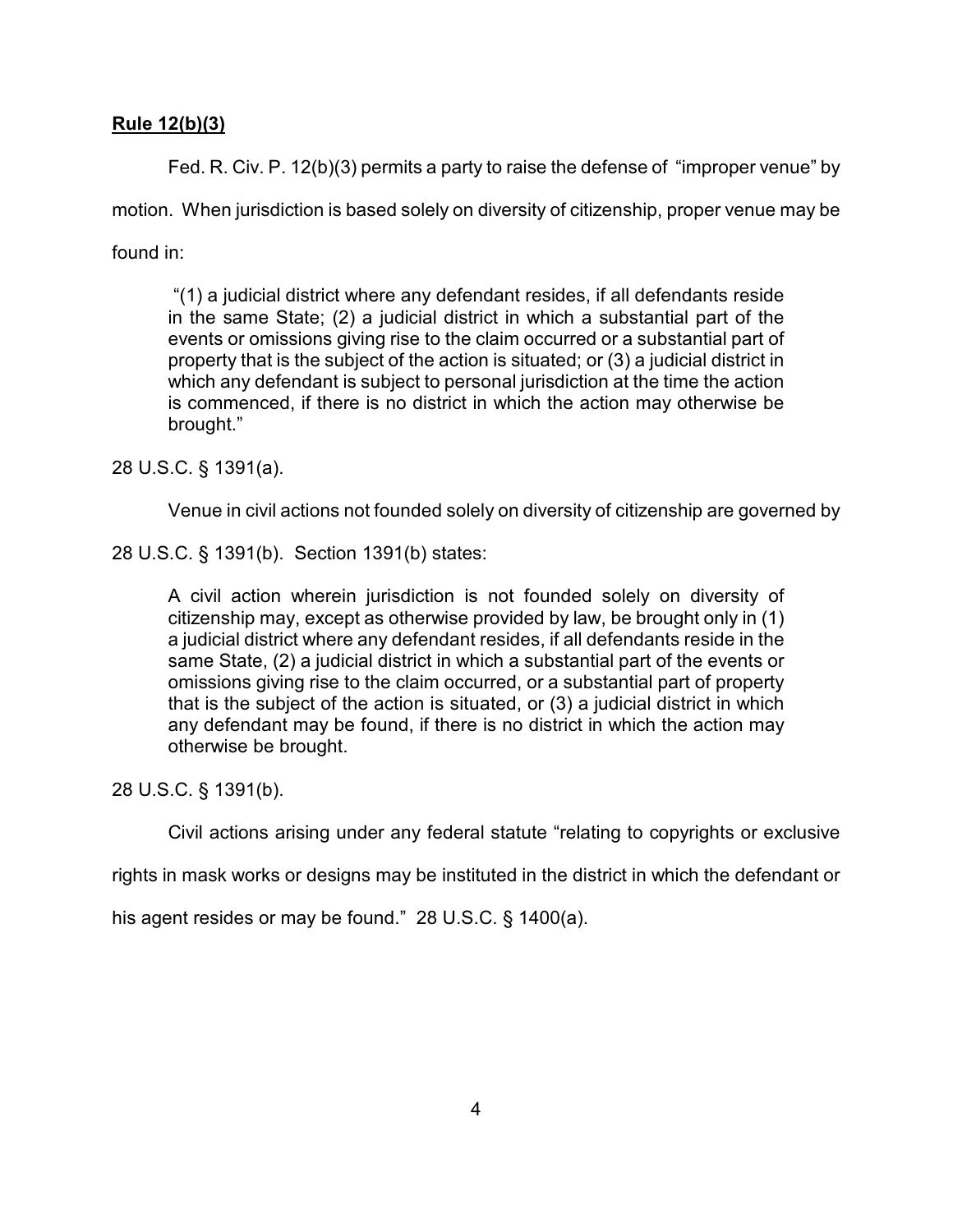# **Rule 12(b)(3)**

Fed. R. Civ. P. 12(b)(3) permits a party to raise the defense of "improper venue" by motion. When jurisdiction is based solely on diversity of citizenship, proper venue may be

found in:

 "(1) a judicial district where any defendant resides, if all defendants reside in the same State; (2) a judicial district in which a substantial part of the events or omissions giving rise to the claim occurred or a substantial part of property that is the subject of the action is situated; or (3) a judicial district in which any defendant is subject to personal jurisdiction at the time the action is commenced, if there is no district in which the action may otherwise be brought."

28 U.S.C. § 1391(a).

Venue in civil actions not founded solely on diversity of citizenship are governed by

28 U.S.C. § 1391(b). Section 1391(b) states:

A civil action wherein jurisdiction is not founded solely on diversity of citizenship may, except as otherwise provided by law, be brought only in (1) a judicial district where any defendant resides, if all defendants reside in the same State, (2) a judicial district in which a substantial part of the events or omissions giving rise to the claim occurred, or a substantial part of property that is the subject of the action is situated, or (3) a judicial district in which any defendant may be found, if there is no district in which the action may otherwise be brought.

28 U.S.C. § 1391(b).

Civil actions arising under any federal statute "relating to copyrights or exclusive

rights in mask works or designs may be instituted in the district in which the defendant or

his agent resides or may be found." 28 U.S.C. § 1400(a).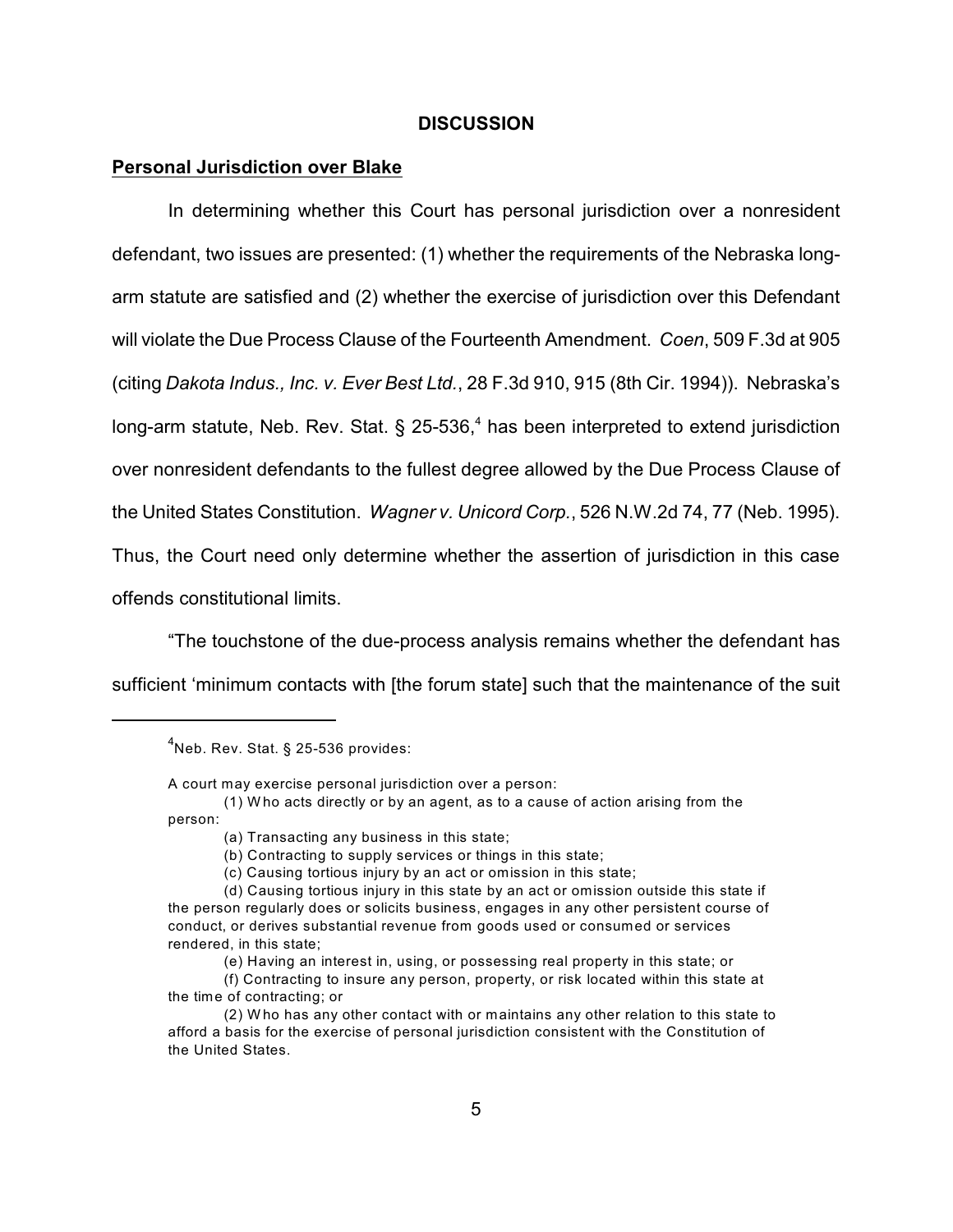#### **DISCUSSION**

#### **Personal Jurisdiction over Blake**

In determining whether this Court has personal jurisdiction over a nonresident defendant, two issues are presented: (1) whether the requirements of the Nebraska longarm statute are satisfied and (2) whether the exercise of jurisdiction over this Defendant will violate the Due Process Clause of the Fourteenth Amendment. *Coen*, 509 F.3d at 905 (citing *Dakota Indus., Inc. v. Ever Best Ltd.*, 28 F.3d 910, 915 (8th Cir. 1994)). Nebraska's long-arm statute, Neb. Rev. Stat. § 25-536,<sup>4</sup> has been interpreted to extend jurisdiction over nonresident defendants to the fullest degree allowed by the Due Process Clause of the United States Constitution. *Wagner v. Unicord Corp.*, 526 N.W.2d 74, 77 (Neb. 1995). Thus, the Court need only determine whether the assertion of jurisdiction in this case offends constitutional limits.

"The touchstone of the due-process analysis remains whether the defendant has sufficient 'minimum contacts with [the forum state] such that the maintenance of the suit

A court may exercise personal jurisdiction over a person:

 $4$ Neb. Rev. Stat. § 25-536 provides:

<sup>(1)</sup> W ho acts directly or by an agent, as to a cause of action arising from the person:

<sup>(</sup>a) Transacting any business in this state;

<sup>(</sup>b) Contracting to supply services or things in this state;

<sup>(</sup>c) Causing tortious injury by an act or omission in this state;

<sup>(</sup>d) Causing tortious injury in this state by an act or omission outside this state if the person regularly does or solicits business, engages in any other persistent course of conduct, or derives substantial revenue from goods used or consumed or services rendered, in this state;

<sup>(</sup>e) Having an interest in, using, or possessing real property in this state; or

<sup>(</sup>f) Contracting to insure any person, property, or risk located within this state at the time of contracting; or

<sup>(2)</sup> W ho has any other contact with or maintains any other relation to this state to afford a basis for the exercise of personal jurisdiction consistent with the Constitution of the United States.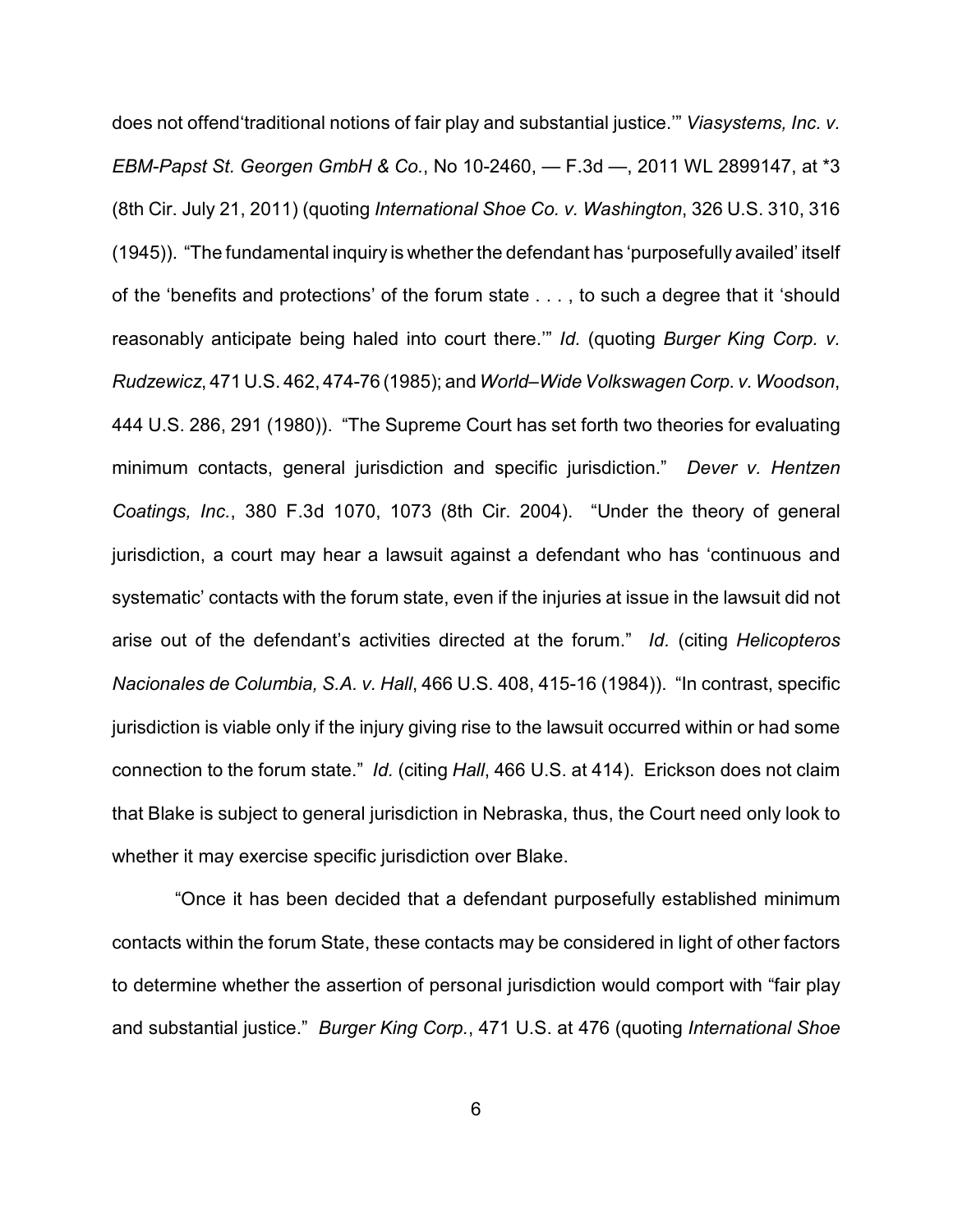does not offend'traditional notions of fair play and substantial justice.'" *Viasystems, Inc. v. EBM-Papst St. Georgen GmbH & Co.*, No 10-2460, — F.3d —, 2011 WL 2899147, at \*3 (8th Cir. July 21, 2011) (quoting *International Shoe Co. v. Washington*, 326 U.S. 310, 316 (1945)). "The fundamental inquiry is whether the defendant has 'purposefully availed' itself of the 'benefits and protections' of the forum state . . . , to such a degree that it 'should reasonably anticipate being haled into court there.'" *Id.* (quoting *Burger King Corp. v. Rudzewicz*, 471 U.S. 462, 474-76 (1985); and*World–Wide Volkswagen Corp. v. Woodson*, 444 U.S. 286, 291 (1980)). "The Supreme Court has set forth two theories for evaluating minimum contacts, general jurisdiction and specific jurisdiction." *Dever v. Hentzen Coatings, Inc.*, 380 F.3d 1070, 1073 (8th Cir. 2004). "Under the theory of general jurisdiction, a court may hear a lawsuit against a defendant who has 'continuous and systematic' contacts with the forum state, even if the injuries at issue in the lawsuit did not arise out of the defendant's activities directed at the forum." *Id.* (citing *Helicopteros Nacionales de Columbia, S.A. v. Hall*, 466 U.S. 408, 415-16 (1984)). "In contrast, specific jurisdiction is viable only if the injury giving rise to the lawsuit occurred within or had some connection to the forum state." *Id.* (citing *Hall*, 466 U.S. at 414). Erickson does not claim that Blake is subject to general jurisdiction in Nebraska, thus, the Court need only look to whether it may exercise specific jurisdiction over Blake.

 "Once it has been decided that a defendant purposefully established minimum contacts within the forum State, these contacts may be considered in light of other factors to determine whether the assertion of personal jurisdiction would comport with "fair play and substantial justice." *Burger King Corp.*, 471 U.S. at 476 (quoting *International Shoe*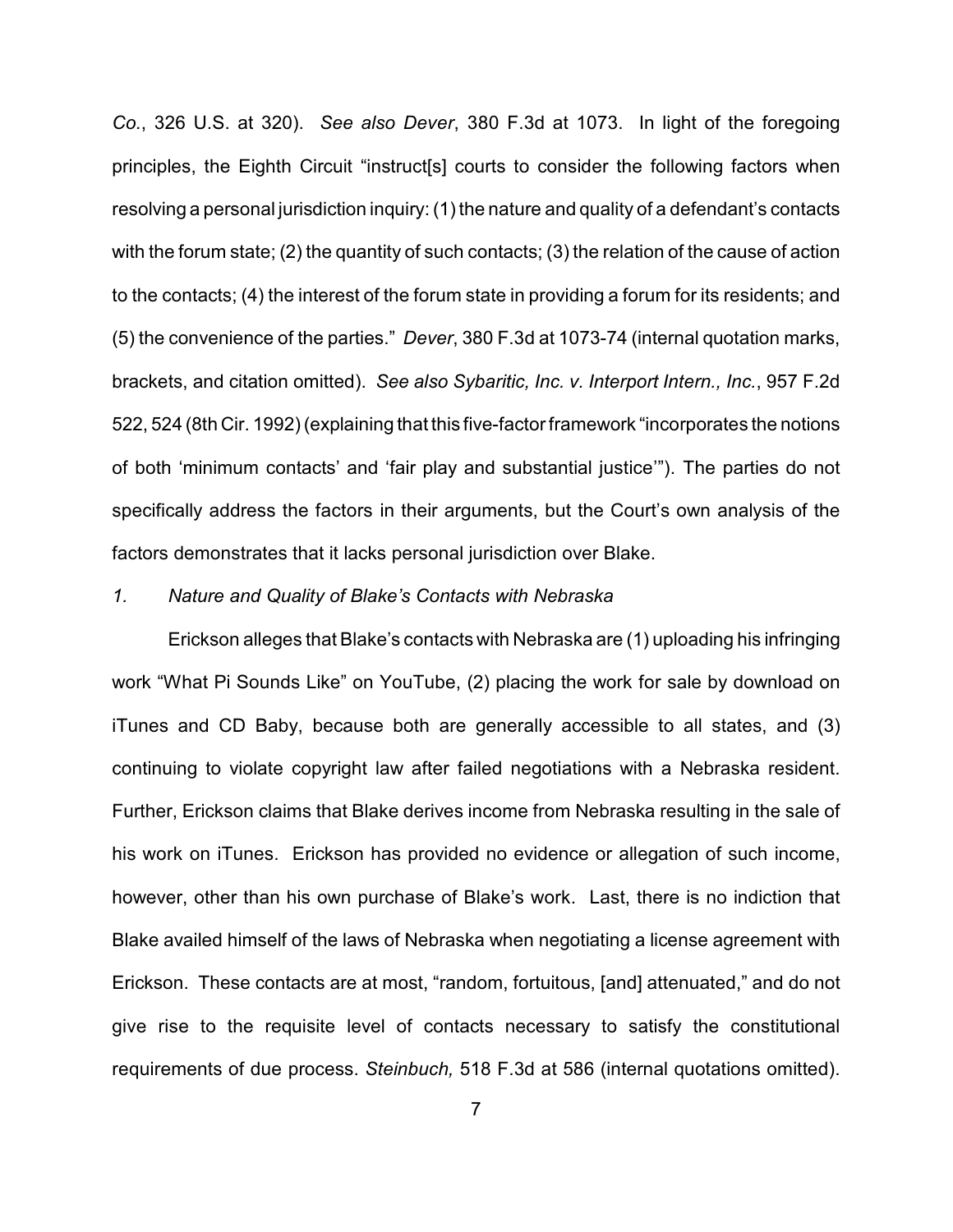*Co.*, 326 U.S. at 320). *See also Dever*, 380 F.3d at 1073. In light of the foregoing principles, the Eighth Circuit "instruct[s] courts to consider the following factors when resolving a personal jurisdiction inquiry: (1) the nature and quality of a defendant's contacts with the forum state; (2) the quantity of such contacts; (3) the relation of the cause of action to the contacts; (4) the interest of the forum state in providing a forum for its residents; and (5) the convenience of the parties." *Dever*, 380 F.3d at 1073-74 (internal quotation marks, brackets, and citation omitted). *See also Sybaritic, Inc. v. Interport Intern., Inc.*, 957 F.2d 522, 524 (8th Cir. 1992) (explaining that this five-factor framework "incorporates the notions of both 'minimum contacts' and 'fair play and substantial justice'"). The parties do not specifically address the factors in their arguments, but the Court's own analysis of the factors demonstrates that it lacks personal jurisdiction over Blake.

### *1. Nature and Quality of Blake's Contacts with Nebraska*

Erickson alleges that Blake's contacts with Nebraska are (1) uploading his infringing work "What Pi Sounds Like" on YouTube, (2) placing the work for sale by download on iTunes and CD Baby, because both are generally accessible to all states, and (3) continuing to violate copyright law after failed negotiations with a Nebraska resident. Further, Erickson claims that Blake derives income from Nebraska resulting in the sale of his work on iTunes. Erickson has provided no evidence or allegation of such income, however, other than his own purchase of Blake's work. Last, there is no indiction that Blake availed himself of the laws of Nebraska when negotiating a license agreement with Erickson. These contacts are at most, "random, fortuitous, [and] attenuated," and do not give rise to the requisite level of contacts necessary to satisfy the constitutional requirements of due process. *Steinbuch,* 518 F.3d at 586 (internal quotations omitted).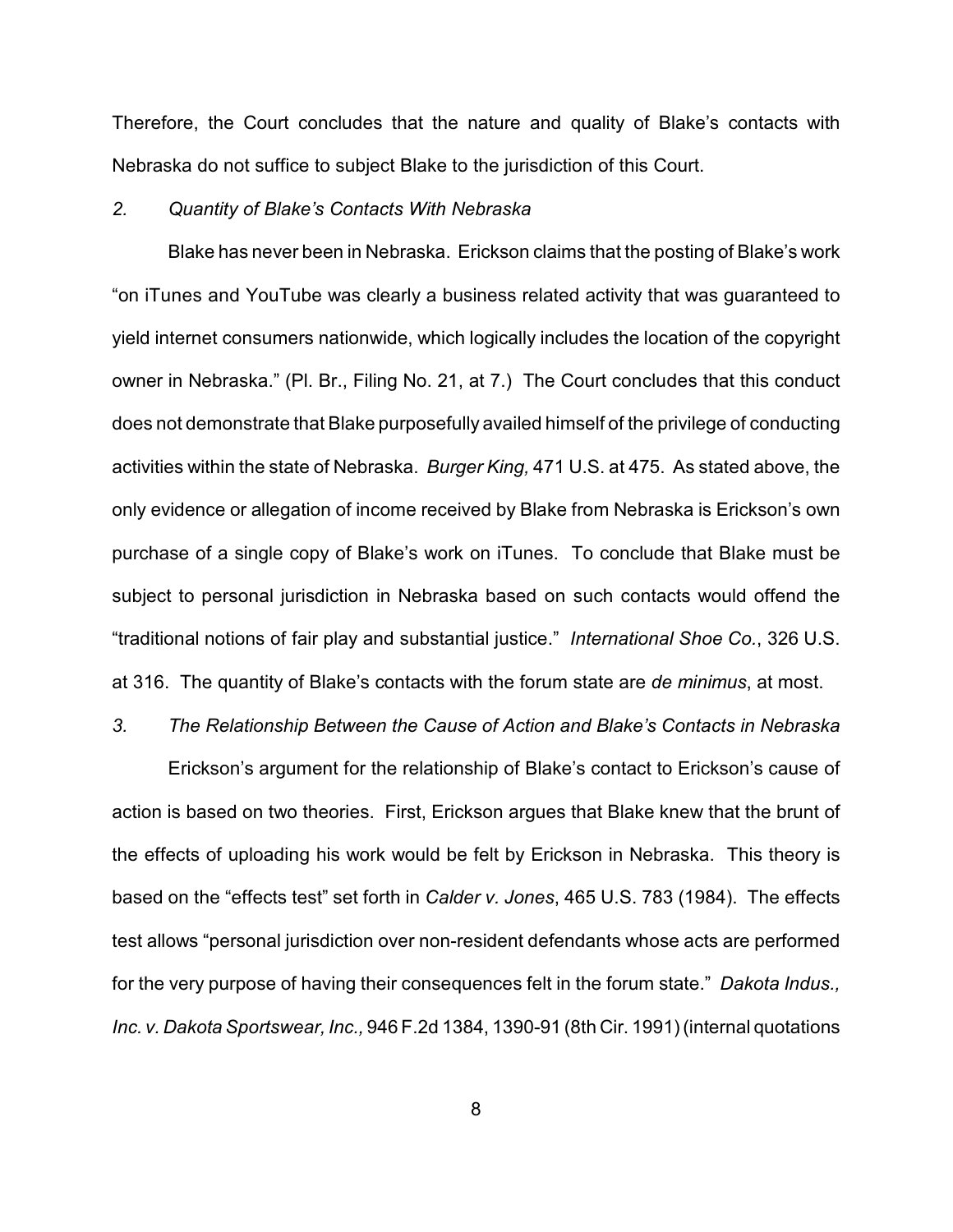Therefore, the Court concludes that the nature and quality of Blake's contacts with Nebraska do not suffice to subject Blake to the jurisdiction of this Court.

### *2. Quantity of Blake's Contacts With Nebraska*

Blake has never been in Nebraska. Erickson claims that the posting of Blake's work "on iTunes and YouTube was clearly a business related activity that was guaranteed to yield internet consumers nationwide, which logically includes the location of the copyright owner in Nebraska." (Pl. Br., Filing No. 21, at 7.) The Court concludes that this conduct does not demonstrate that Blake purposefully availed himself of the privilege of conducting activities within the state of Nebraska. *Burger King,* 471 U.S. at 475. As stated above, the only evidence or allegation of income received by Blake from Nebraska is Erickson's own purchase of a single copy of Blake's work on iTunes. To conclude that Blake must be subject to personal jurisdiction in Nebraska based on such contacts would offend the "traditional notions of fair play and substantial justice." *International Shoe Co.*, 326 U.S. at 316. The quantity of Blake's contacts with the forum state are *de minimus*, at most.

#### *3. The Relationship Between the Cause of Action and Blake's Contacts in Nebraska*

Erickson's argument for the relationship of Blake's contact to Erickson's cause of action is based on two theories. First, Erickson argues that Blake knew that the brunt of the effects of uploading his work would be felt by Erickson in Nebraska. This theory is based on the "effects test" set forth in *Calder v. Jones*, 465 U.S. 783 (1984). The effects test allows "personal jurisdiction over non-resident defendants whose acts are performed for the very purpose of having their consequences felt in the forum state." *Dakota Indus., Inc. v. Dakota Sportswear, Inc.,* 946 F.2d 1384, 1390-91 (8th Cir. 1991) (internal quotations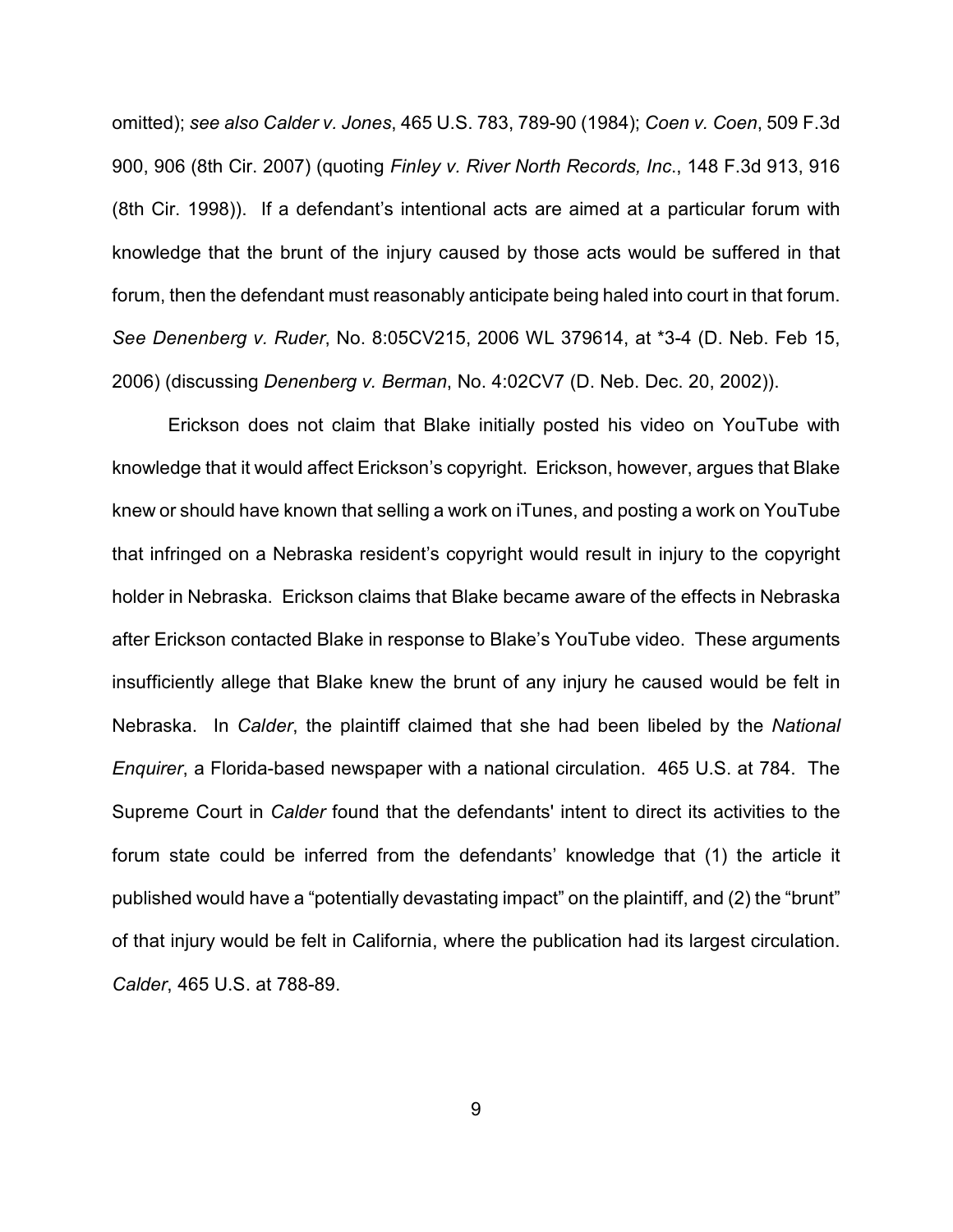omitted); *see also Calder v. Jones*, 465 U.S. 783, 789-90 (1984); *Coen v. Coen*, 509 F.3d 900, 906 (8th Cir. 2007) (quoting *Finley v. River North Records, Inc*., 148 F.3d 913, 916 (8th Cir. 1998)). If a defendant's intentional acts are aimed at a particular forum with knowledge that the brunt of the injury caused by those acts would be suffered in that forum, then the defendant must reasonably anticipate being haled into court in that forum. *See Denenberg v. Ruder*, No. 8:05CV215, 2006 WL 379614, at \*3-4 (D. Neb. Feb 15, 2006) (discussing *Denenberg v. Berman*, No. 4:02CV7 (D. Neb. Dec. 20, 2002)).

Erickson does not claim that Blake initially posted his video on YouTube with knowledge that it would affect Erickson's copyright. Erickson, however, argues that Blake knew or should have known that selling a work on iTunes, and posting a work on YouTube that infringed on a Nebraska resident's copyright would result in injury to the copyright holder in Nebraska. Erickson claims that Blake became aware of the effects in Nebraska after Erickson contacted Blake in response to Blake's YouTube video. These arguments insufficiently allege that Blake knew the brunt of any injury he caused would be felt in Nebraska. In *Calder*, the plaintiff claimed that she had been libeled by the *National Enquirer*, a Florida-based newspaper with a national circulation. 465 U.S. at 784. The Supreme Court in *Calder* found that the defendants' intent to direct its activities to the forum state could be inferred from the defendants' knowledge that (1) the article it published would have a "potentially devastating impact" on the plaintiff, and (2) the "brunt" of that injury would be felt in California, where the publication had its largest circulation. *Calder*, 465 U.S. at 788-89.

9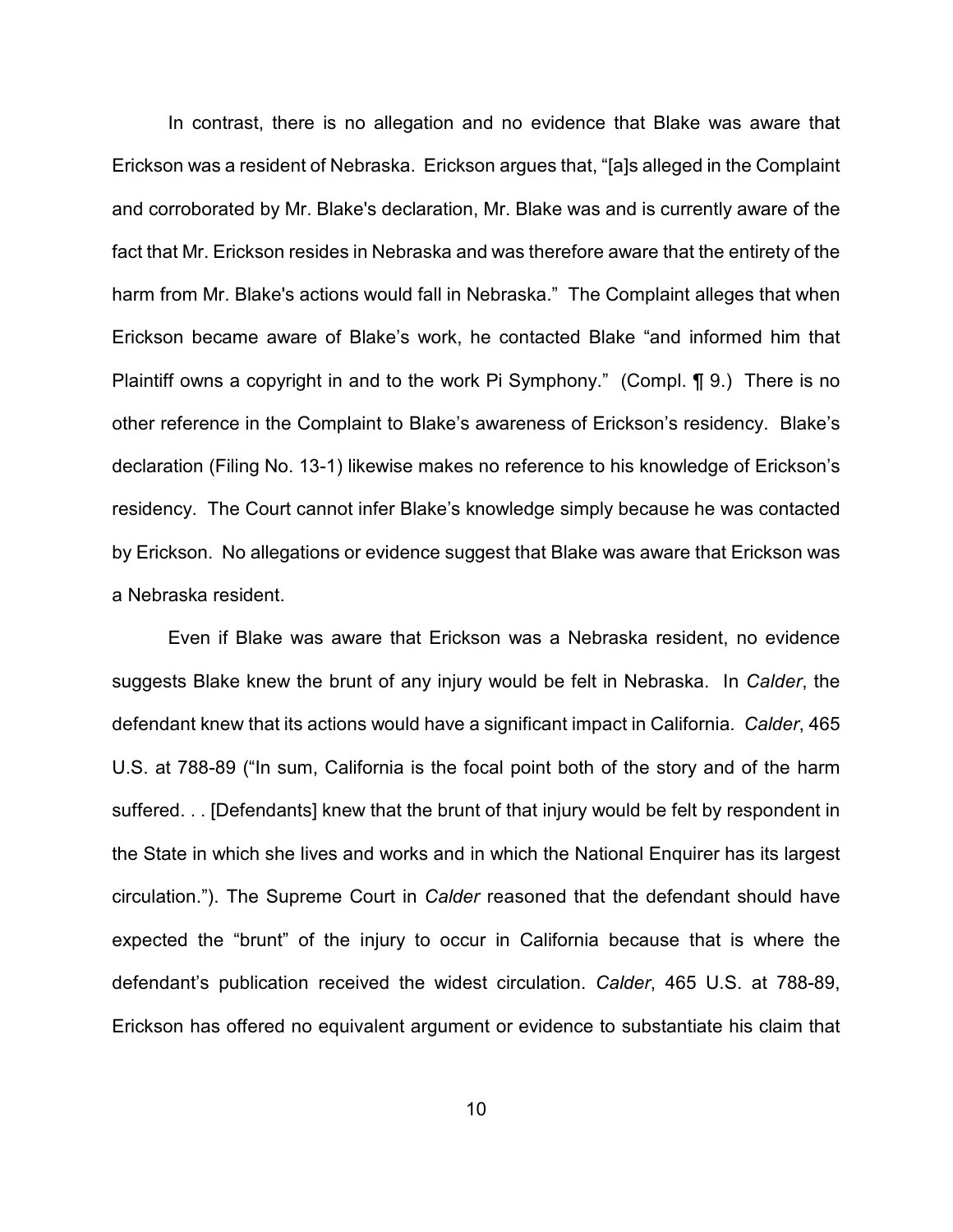In contrast, there is no allegation and no evidence that Blake was aware that Erickson was a resident of Nebraska. Erickson argues that, "[a]s alleged in the Complaint and corroborated by Mr. Blake's declaration, Mr. Blake was and is currently aware of the fact that Mr. Erickson resides in Nebraska and was therefore aware that the entirety of the harm from Mr. Blake's actions would fall in Nebraska." The Complaint alleges that when Erickson became aware of Blake's work, he contacted Blake "and informed him that Plaintiff owns a copyright in and to the work Pi Symphony." (Compl. ¶ 9.) There is no other reference in the Complaint to Blake's awareness of Erickson's residency. Blake's declaration (Filing No. 13-1) likewise makes no reference to his knowledge of Erickson's residency. The Court cannot infer Blake's knowledge simply because he was contacted by Erickson. No allegations or evidence suggest that Blake was aware that Erickson was a Nebraska resident.

Even if Blake was aware that Erickson was a Nebraska resident, no evidence suggests Blake knew the brunt of any injury would be felt in Nebraska. In *Calder*, the defendant knew that its actions would have a significant impact in California. *Calder*, 465 U.S. at 788-89 ("In sum, California is the focal point both of the story and of the harm suffered. . . [Defendants] knew that the brunt of that injury would be felt by respondent in the State in which she lives and works and in which the National Enquirer has its largest circulation."). The Supreme Court in *Calder* reasoned that the defendant should have expected the "brunt" of the injury to occur in California because that is where the defendant's publication received the widest circulation. *Calder*, 465 U.S. at 788-89, Erickson has offered no equivalent argument or evidence to substantiate his claim that

10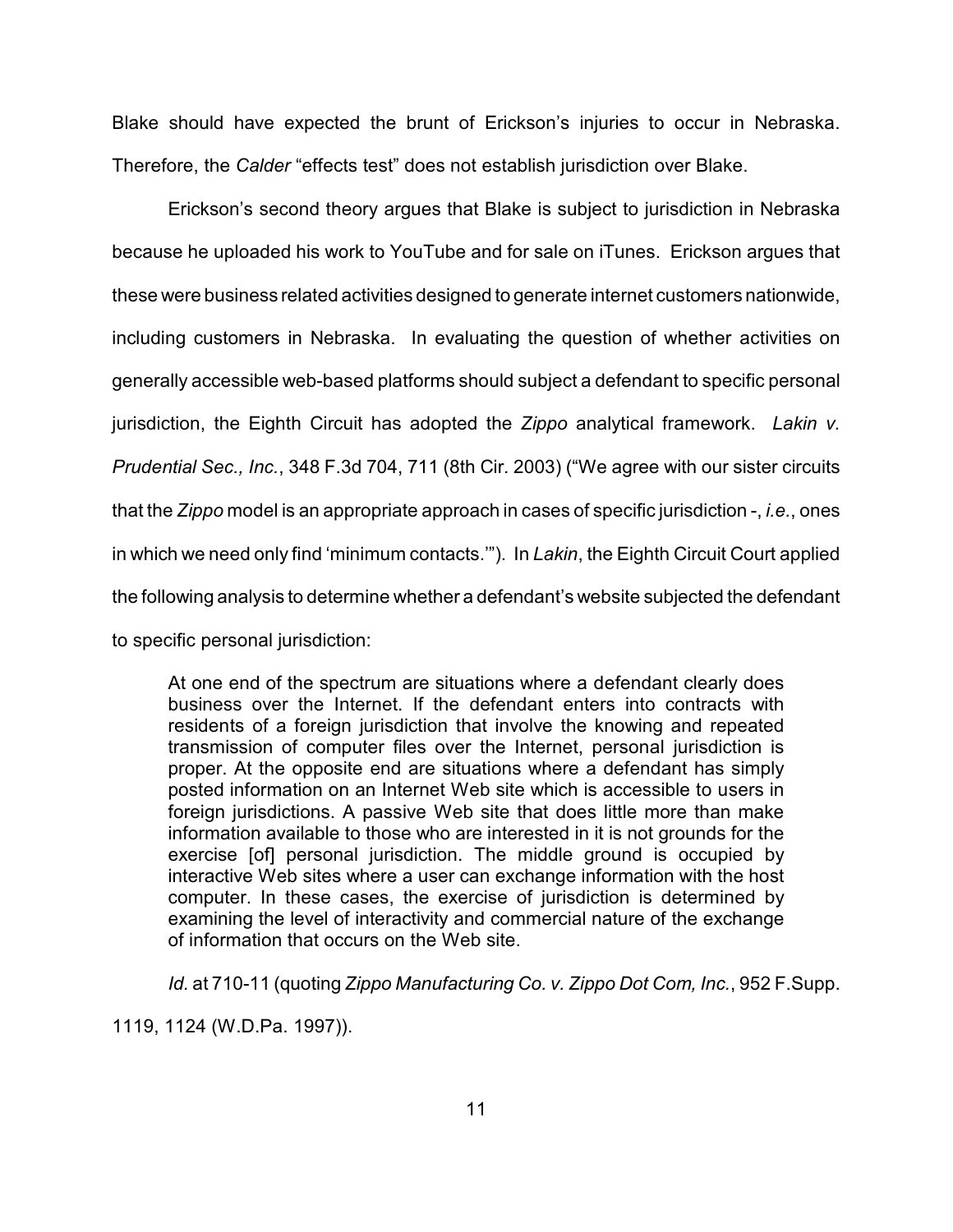Blake should have expected the brunt of Erickson's injuries to occur in Nebraska. Therefore, the *Calder* "effects test" does not establish jurisdiction over Blake.

Erickson's second theory argues that Blake is subject to jurisdiction in Nebraska because he uploaded his work to YouTube and for sale on iTunes. Erickson argues that these were business related activities designed to generate internet customers nationwide, including customers in Nebraska. In evaluating the question of whether activities on generally accessible web-based platforms should subject a defendant to specific personal jurisdiction, the Eighth Circuit has adopted the *Zippo* analytical framework. *Lakin v. Prudential Sec., Inc.*, 348 F.3d 704, 711 (8th Cir. 2003) ("We agree with our sister circuits that the *Zippo* model is an appropriate approach in cases of specific jurisdiction -, *i.e.*, ones in which we need only find 'minimum contacts.'"). In *Lakin*, the Eighth Circuit Court applied the following analysis to determine whether a defendant's website subjected the defendant to specific personal jurisdiction:

At one end of the spectrum are situations where a defendant clearly does business over the Internet. If the defendant enters into contracts with residents of a foreign jurisdiction that involve the knowing and repeated transmission of computer files over the Internet, personal jurisdiction is proper. At the opposite end are situations where a defendant has simply posted information on an Internet Web site which is accessible to users in foreign jurisdictions. A passive Web site that does little more than make information available to those who are interested in it is not grounds for the exercise [of] personal jurisdiction. The middle ground is occupied by interactive Web sites where a user can exchange information with the host computer. In these cases, the exercise of jurisdiction is determined by examining the level of interactivity and commercial nature of the exchange of information that occurs on the Web site.

*Id.* at 710-11 (quoting *Zippo Manufacturing Co. v. Zippo Dot Com, Inc.*, 952 F.Supp.

1119, 1124 (W.D.Pa. 1997)).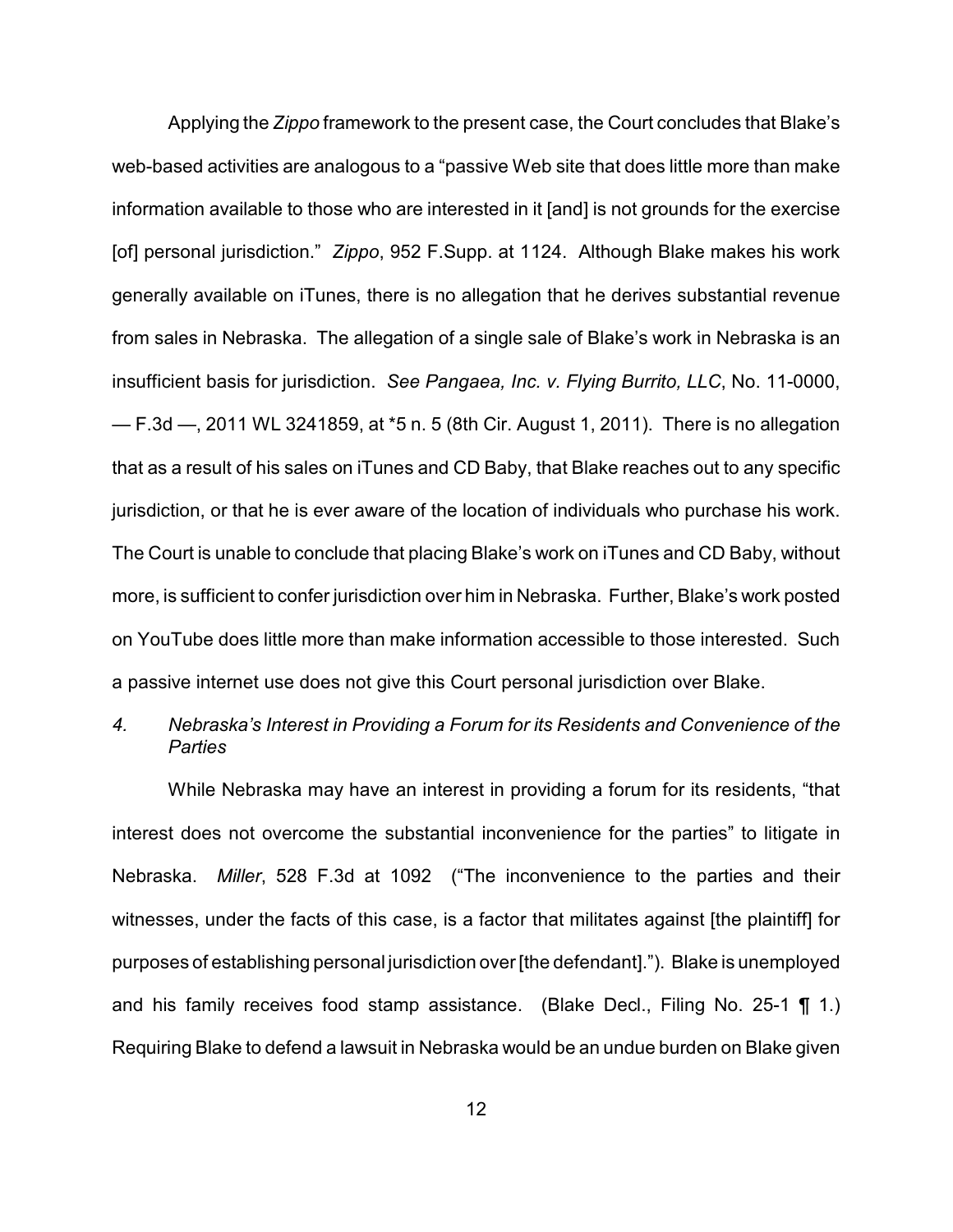Applying the *Zippo* framework to the present case, the Court concludes that Blake's web-based activities are analogous to a "passive Web site that does little more than make information available to those who are interested in it [and] is not grounds for the exercise [of] personal jurisdiction." *Zippo*, 952 F.Supp. at 1124. Although Blake makes his work generally available on iTunes, there is no allegation that he derives substantial revenue from sales in Nebraska. The allegation of a single sale of Blake's work in Nebraska is an insufficient basis for jurisdiction. *See Pangaea, Inc. v. Flying Burrito, LLC*, No. 11-0000, — F.3d —, 2011 WL 3241859, at \*5 n. 5 (8th Cir. August 1, 2011). There is no allegation that as a result of his sales on iTunes and CD Baby, that Blake reaches out to any specific jurisdiction, or that he is ever aware of the location of individuals who purchase his work. The Court is unable to conclude that placing Blake's work on iTunes and CD Baby, without more, is sufficient to confer jurisdiction over him in Nebraska. Further, Blake's work posted on YouTube does little more than make information accessible to those interested. Such a passive internet use does not give this Court personal jurisdiction over Blake.

# *4. Nebraska's Interest in Providing a Forum for its Residents and Convenience of the Parties*

While Nebraska may have an interest in providing a forum for its residents, "that interest does not overcome the substantial inconvenience for the parties" to litigate in Nebraska. *Miller*, 528 F.3d at 1092 ("The inconvenience to the parties and their witnesses, under the facts of this case, is a factor that militates against [the plaintiff] for purposes of establishing personal jurisdiction over[the defendant]."). Blake is unemployed and his family receives food stamp assistance. (Blake Decl., Filing No. 25-1 ¶ 1.) Requiring Blake to defend a lawsuit in Nebraska would be an undue burden on Blake given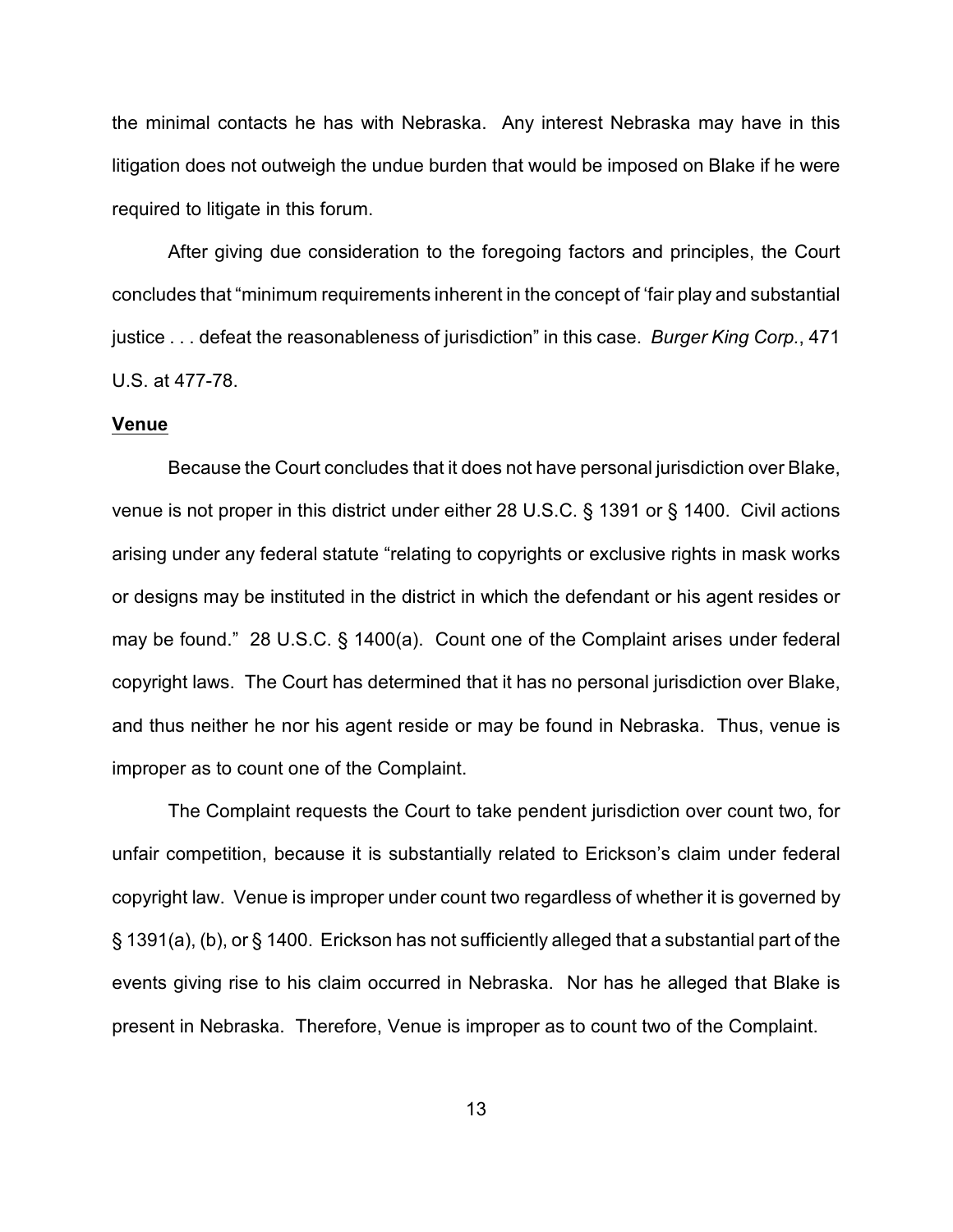the minimal contacts he has with Nebraska. Any interest Nebraska may have in this litigation does not outweigh the undue burden that would be imposed on Blake if he were required to litigate in this forum.

After giving due consideration to the foregoing factors and principles, the Court concludes that "minimum requirements inherent in the concept of 'fair play and substantial justice . . . defeat the reasonableness of jurisdiction" in this case. *Burger King Corp.*, 471 U.S. at 477-78.

### **Venue**

Because the Court concludes that it does not have personal jurisdiction over Blake, venue is not proper in this district under either 28 U.S.C. § 1391 or § 1400. Civil actions arising under any federal statute "relating to copyrights or exclusive rights in mask works or designs may be instituted in the district in which the defendant or his agent resides or may be found." 28 U.S.C. § 1400(a). Count one of the Complaint arises under federal copyright laws. The Court has determined that it has no personal jurisdiction over Blake, and thus neither he nor his agent reside or may be found in Nebraska. Thus, venue is improper as to count one of the Complaint.

The Complaint requests the Court to take pendent jurisdiction over count two, for unfair competition, because it is substantially related to Erickson's claim under federal copyright law. Venue is improper under count two regardless of whether it is governed by § 1391(a), (b), or § 1400. Erickson has not sufficiently alleged that a substantial part of the events giving rise to his claim occurred in Nebraska. Nor has he alleged that Blake is present in Nebraska. Therefore, Venue is improper as to count two of the Complaint.